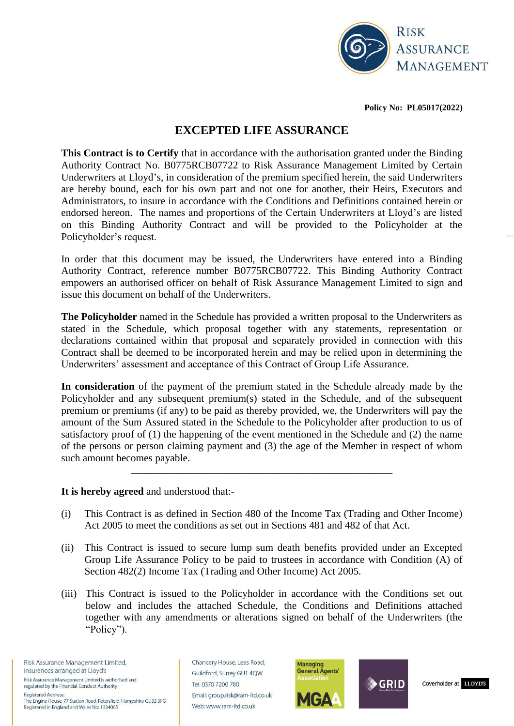

**Policy No: PL05017(2022)**

# **EXCEPTED LIFE ASSURANCE**

**This Contract is to Certify** that in accordance with the authorisation granted under the Binding Authority Contract No. B0775RCB07722 to Risk Assurance Management Limited by Certain Underwriters at Lloyd's, in consideration of the premium specified herein, the said Underwriters are hereby bound, each for his own part and not one for another, their Heirs, Executors and Administrators, to insure in accordance with the Conditions and Definitions contained herein or endorsed hereon. The names and proportions of the Certain Underwriters at Lloyd's are listed on this Binding Authority Contract and will be provided to the Policyholder at the Policyholder's request.

In order that this document may be issued, the Underwriters have entered into a Binding Authority Contract, reference number B0775RCB07722. This Binding Authority Contract empowers an authorised officer on behalf of Risk Assurance Management Limited to sign and issue this document on behalf of the Underwriters.

**The Policyholder** named in the Schedule has provided a written proposal to the Underwriters as stated in the Schedule, which proposal together with any statements, representation or declarations contained within that proposal and separately provided in connection with this Contract shall be deemed to be incorporated herein and may be relied upon in determining the Underwriters' assessment and acceptance of this Contract of Group Life Assurance.

**In consideration** of the payment of the premium stated in the Schedule already made by the Policyholder and any subsequent premium(s) stated in the Schedule, and of the subsequent premium or premiums (if any) to be paid as thereby provided, we, the Underwriters will pay the amount of the Sum Assured stated in the Schedule to the Policyholder after production to us of satisfactory proof of (1) the happening of the event mentioned in the Schedule and (2) the name of the persons or person claiming payment and (3) the age of the Member in respect of whom such amount becomes payable.

**\_\_\_\_\_\_\_\_\_\_\_\_\_\_\_\_\_\_\_\_\_\_\_\_\_\_\_\_\_\_\_\_\_\_\_\_\_\_\_\_\_\_\_\_\_\_\_\_\_\_\_\_\_\_\_**

**It is hereby agreed** and understood that:-

- (i) This Contract is as defined in Section 480 of the Income Tax (Trading and Other Income) Act 2005 to meet the conditions as set out in Sections 481 and 482 of that Act.
- (ii) This Contract is issued to secure lump sum death benefits provided under an Excepted Group Life Assurance Policy to be paid to trustees in accordance with Condition (A) of Section 482(2) Income Tax (Trading and Other Income) Act 2005.
- (iii) This Contract is issued to the Policyholder in accordance with the Conditions set out below and includes the attached Schedule, the Conditions and Definitions attached together with any amendments or alterations signed on behalf of the Underwriters (the "Policy").

Risk Assurance Management Limited, insurances arranged at Lloyd's Risk Assurance Management Limited is authorised and regulated by the Financial Conduct Authority **Registered Address:** 

The Engine House, 77 Station Road, Petersfield, Hampshire GU32 3FQ Registered in England and Wales No: 1334065

Chancery House, Leas Road, Guildford, Surrey GU1 4QW Tel: 0370 7200 780 Email: group.risk@ram-ltd.co.uk Web: www.ram-ltd.co.uk



Coverholder at LLOYD'S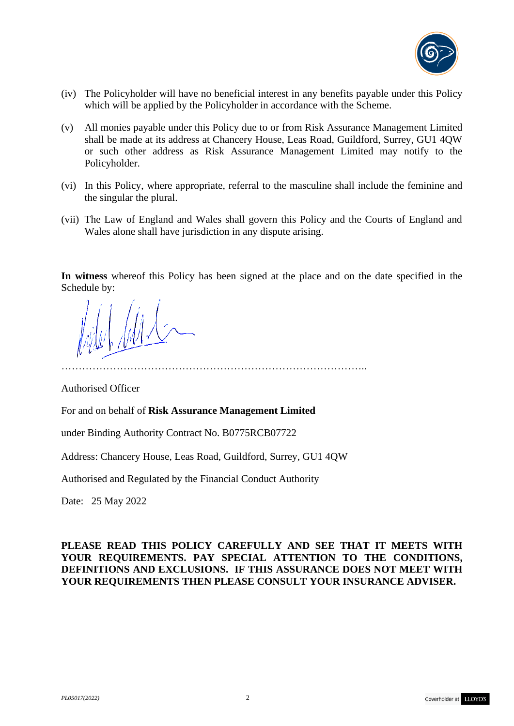

- (iv) The Policyholder will have no beneficial interest in any benefits payable under this Policy which will be applied by the Policyholder in accordance with the Scheme.
- (v) All monies payable under this Policy due to or from Risk Assurance Management Limited shall be made at its address at Chancery House, Leas Road, Guildford, Surrey, GU1 4QW or such other address as Risk Assurance Management Limited may notify to the Policyholder.
- (vi) In this Policy, where appropriate, referral to the masculine shall include the feminine and the singular the plural.
- (vii) The Law of England and Wales shall govern this Policy and the Courts of England and Wales alone shall have jurisdiction in any dispute arising.

**In witness** whereof this Policy has been signed at the place and on the date specified in the Schedule by:

……………………………………………………………………………..

Authorised Officer

For and on behalf of **Risk Assurance Management Limited** 

under Binding Authority Contract No. B0775RCB07722

Address: Chancery House, Leas Road, Guildford, Surrey, GU1 4QW

Authorised and Regulated by the Financial Conduct Authority

Date: 25 May 2022

### **PLEASE READ THIS POLICY CAREFULLY AND SEE THAT IT MEETS WITH YOUR REQUIREMENTS. PAY SPECIAL ATTENTION TO THE CONDITIONS, DEFINITIONS AND EXCLUSIONS. IF THIS ASSURANCE DOES NOT MEET WITH YOUR REQUIREMENTS THEN PLEASE CONSULT YOUR INSURANCE ADVISER.**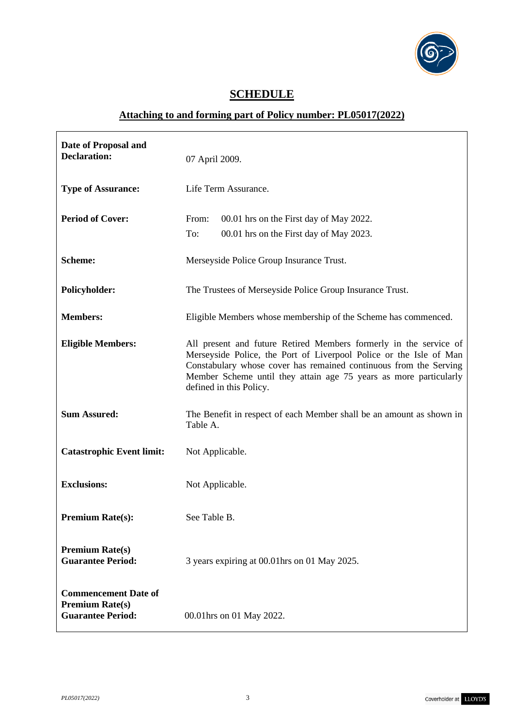

# **SCHEDULE**

# **Attaching to and forming part of Policy number: PL05017(2022)**

| Date of Proposal and<br><b>Declaration:</b>                                       | 07 April 2009.                                                                                                                                                                                                                                                                                               |
|-----------------------------------------------------------------------------------|--------------------------------------------------------------------------------------------------------------------------------------------------------------------------------------------------------------------------------------------------------------------------------------------------------------|
| <b>Type of Assurance:</b>                                                         | Life Term Assurance.                                                                                                                                                                                                                                                                                         |
| <b>Period of Cover:</b>                                                           | From:<br>00.01 hrs on the First day of May 2022.<br>To:<br>00.01 hrs on the First day of May 2023.                                                                                                                                                                                                           |
| <b>Scheme:</b>                                                                    | Merseyside Police Group Insurance Trust.                                                                                                                                                                                                                                                                     |
| Policyholder:                                                                     | The Trustees of Merseyside Police Group Insurance Trust.                                                                                                                                                                                                                                                     |
| <b>Members:</b>                                                                   | Eligible Members whose membership of the Scheme has commenced.                                                                                                                                                                                                                                               |
| <b>Eligible Members:</b>                                                          | All present and future Retired Members formerly in the service of<br>Merseyside Police, the Port of Liverpool Police or the Isle of Man<br>Constabulary whose cover has remained continuous from the Serving<br>Member Scheme until they attain age 75 years as more particularly<br>defined in this Policy. |
| <b>Sum Assured:</b>                                                               | The Benefit in respect of each Member shall be an amount as shown in<br>Table A.                                                                                                                                                                                                                             |
| <b>Catastrophic Event limit:</b>                                                  | Not Applicable.                                                                                                                                                                                                                                                                                              |
| <b>Exclusions:</b>                                                                | Not Applicable.                                                                                                                                                                                                                                                                                              |
| <b>Premium Rate(s):</b>                                                           | See Table B.                                                                                                                                                                                                                                                                                                 |
| <b>Premium Rate(s)</b><br><b>Guarantee Period:</b>                                | 3 years expiring at 00.01 hrs on 01 May 2025.                                                                                                                                                                                                                                                                |
| <b>Commencement Date of</b><br><b>Premium Rate(s)</b><br><b>Guarantee Period:</b> | 00.01 hrs on 01 May 2022.                                                                                                                                                                                                                                                                                    |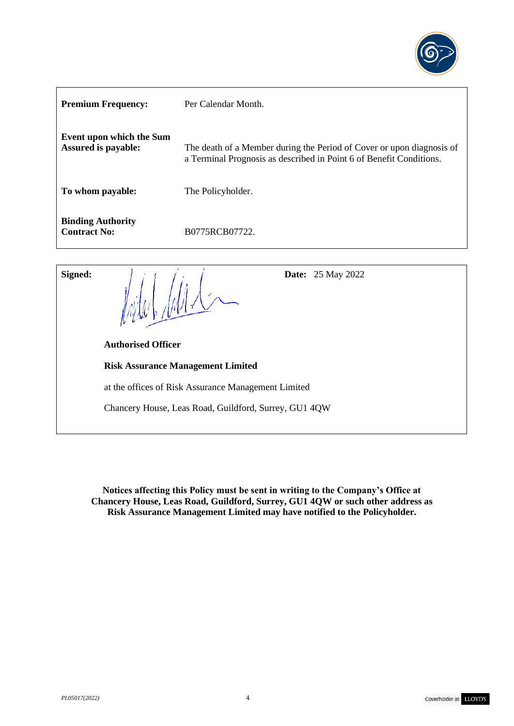

| <b>Premium Frequency:</b>                                     | Per Calendar Month.                                                                                                                          |
|---------------------------------------------------------------|----------------------------------------------------------------------------------------------------------------------------------------------|
| <b>Event upon which the Sum</b><br><b>Assured is payable:</b> | The death of a Member during the Period of Cover or upon diagnosis of<br>a Terminal Prognosis as described in Point 6 of Benefit Conditions. |
| To whom payable:                                              | The Policyholder.                                                                                                                            |
| <b>Binding Authority</b><br><b>Contract No:</b>               | B0775RCB07722.                                                                                                                               |

**Signed:**  $\begin{array}{ccc} 1 & 1 & 1 \\ 1 & 1 & 1 \end{array}$  **Date:** 25 May 2022  **Authorised Officer Risk Assurance Management Limited**  at the offices of Risk Assurance Management Limited Chancery House, Leas Road, Guildford, Surrey, GU1 4QW

**Notices affecting this Policy must be sent in writing to the Company's Office at Chancery House, Leas Road, Guildford, Surrey, GU1 4QW or such other address as Risk Assurance Management Limited may have notified to the Policyholder.**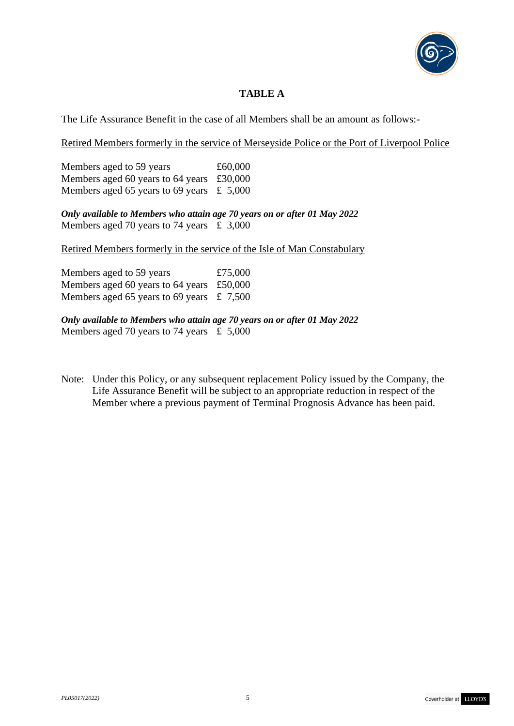

# **TABLE A**

The Life Assurance Benefit in the case of all Members shall be an amount as follows:-

Retired Members formerly in the service of Merseyside Police or the Port of Liverpool Police

Members aged to 59 years  $£60,000$ Members aged 60 years to 64 years £30,000 Members aged 65 years to 69 years  $\pm$  5,000

*Only available to Members who attain age 70 years on or after 01 May 2022* Members aged 70 years to 74 years  $\pm 3,000$ 

Retired Members formerly in the service of the Isle of Man Constabulary

Members aged to 59 years £75,000 Members aged 60 years to 64 years £50,000 Members aged 65 years to 69 years  $\pm 7,500$ 

*Only available to Members who attain age 70 years on or after 01 May 2022* Members aged 70 years to 74 years  $\text{\pounds}$  5,000

Note: Under this Policy, or any subsequent replacement Policy issued by the Company, the Life Assurance Benefit will be subject to an appropriate reduction in respect of the Member where a previous payment of Terminal Prognosis Advance has been paid.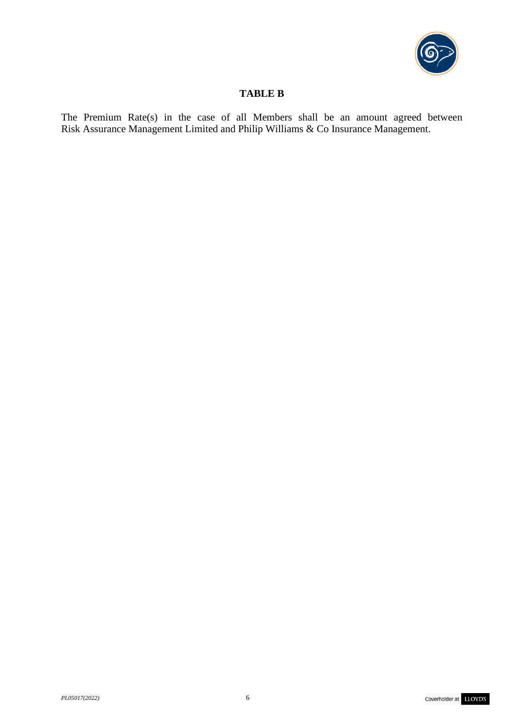

### **TABLE B**

The Premium Rate(s) in the case of all Members shall be an amount agreed between Risk Assurance Management Limited and Philip Williams & Co Insurance Management.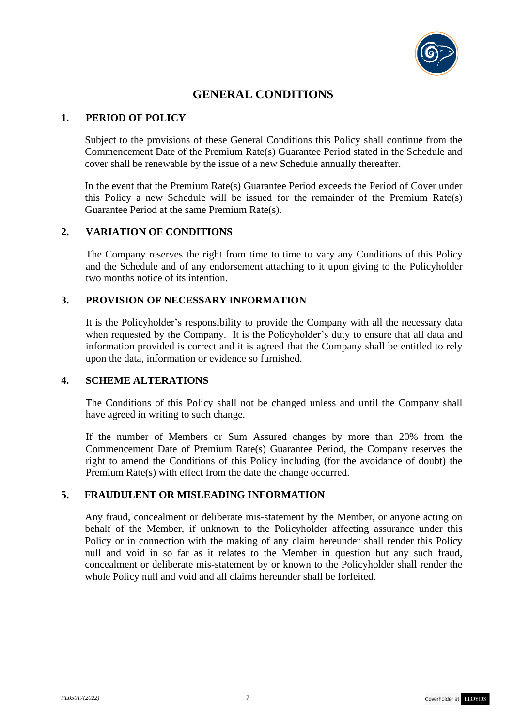

# **GENERAL CONDITIONS**

#### **1. PERIOD OF POLICY**

Subject to the provisions of these General Conditions this Policy shall continue from the Commencement Date of the Premium Rate(s) Guarantee Period stated in the Schedule and cover shall be renewable by the issue of a new Schedule annually thereafter.

In the event that the Premium Rate(s) Guarantee Period exceeds the Period of Cover under this Policy a new Schedule will be issued for the remainder of the Premium Rate(s) Guarantee Period at the same Premium Rate(s).

# **2. VARIATION OF CONDITIONS**

The Company reserves the right from time to time to vary any Conditions of this Policy and the Schedule and of any endorsement attaching to it upon giving to the Policyholder two months notice of its intention.

#### **3. PROVISION OF NECESSARY INFORMATION**

It is the Policyholder's responsibility to provide the Company with all the necessary data when requested by the Company. It is the Policyholder's duty to ensure that all data and information provided is correct and it is agreed that the Company shall be entitled to rely upon the data, information or evidence so furnished.

#### **4. SCHEME ALTERATIONS**

The Conditions of this Policy shall not be changed unless and until the Company shall have agreed in writing to such change.

If the number of Members or Sum Assured changes by more than 20% from the Commencement Date of Premium Rate(s) Guarantee Period, the Company reserves the right to amend the Conditions of this Policy including (for the avoidance of doubt) the Premium Rate(s) with effect from the date the change occurred.

#### **5. FRAUDULENT OR MISLEADING INFORMATION**

Any fraud, concealment or deliberate mis-statement by the Member, or anyone acting on behalf of the Member, if unknown to the Policyholder affecting assurance under this Policy or in connection with the making of any claim hereunder shall render this Policy null and void in so far as it relates to the Member in question but any such fraud, concealment or deliberate mis-statement by or known to the Policyholder shall render the whole Policy null and void and all claims hereunder shall be forfeited.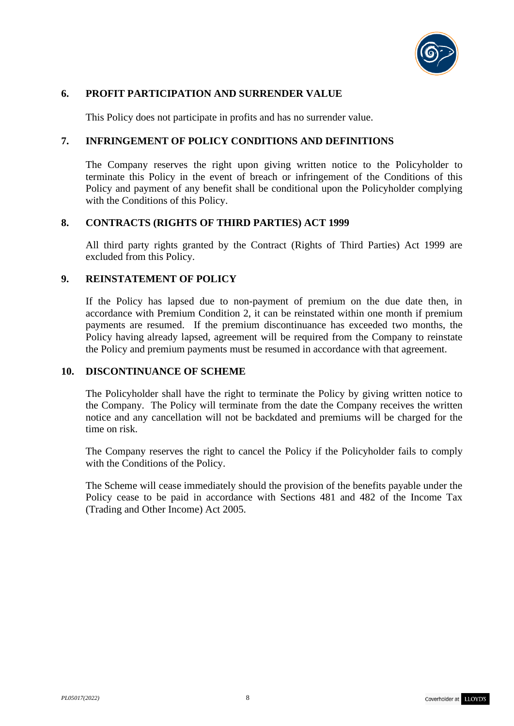

### **6. PROFIT PARTICIPATION AND SURRENDER VALUE**

This Policy does not participate in profits and has no surrender value.

### **7. INFRINGEMENT OF POLICY CONDITIONS AND DEFINITIONS**

The Company reserves the right upon giving written notice to the Policyholder to terminate this Policy in the event of breach or infringement of the Conditions of this Policy and payment of any benefit shall be conditional upon the Policyholder complying with the Conditions of this Policy.

#### **8. CONTRACTS (RIGHTS OF THIRD PARTIES) ACT 1999**

All third party rights granted by the Contract (Rights of Third Parties) Act 1999 are excluded from this Policy.

#### **9. REINSTATEMENT OF POLICY**

If the Policy has lapsed due to non-payment of premium on the due date then, in accordance with Premium Condition 2, it can be reinstated within one month if premium payments are resumed. If the premium discontinuance has exceeded two months, the Policy having already lapsed, agreement will be required from the Company to reinstate the Policy and premium payments must be resumed in accordance with that agreement.

#### **10. DISCONTINUANCE OF SCHEME**

The Policyholder shall have the right to terminate the Policy by giving written notice to the Company. The Policy will terminate from the date the Company receives the written notice and any cancellation will not be backdated and premiums will be charged for the time on risk.

The Company reserves the right to cancel the Policy if the Policyholder fails to comply with the Conditions of the Policy.

The Scheme will cease immediately should the provision of the benefits payable under the Policy cease to be paid in accordance with Sections 481 and 482 of the Income Tax (Trading and Other Income) Act 2005.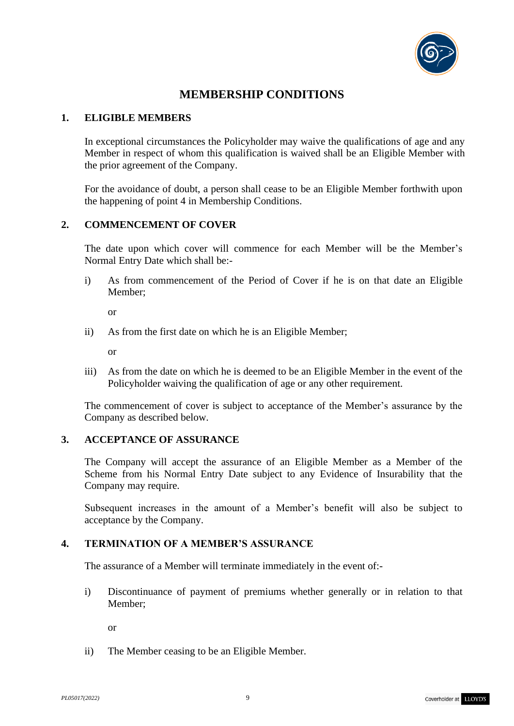

# **MEMBERSHIP CONDITIONS**

#### **1. ELIGIBLE MEMBERS**

In exceptional circumstances the Policyholder may waive the qualifications of age and any Member in respect of whom this qualification is waived shall be an Eligible Member with the prior agreement of the Company.

For the avoidance of doubt, a person shall cease to be an Eligible Member forthwith upon the happening of point 4 in Membership Conditions.

### **2. COMMENCEMENT OF COVER**

The date upon which cover will commence for each Member will be the Member's Normal Entry Date which shall be:-

i) As from commencement of the Period of Cover if he is on that date an Eligible Member;

or

ii) As from the first date on which he is an Eligible Member;

or

iii) As from the date on which he is deemed to be an Eligible Member in the event of the Policyholder waiving the qualification of age or any other requirement.

The commencement of cover is subject to acceptance of the Member's assurance by the Company as described below.

#### **3. ACCEPTANCE OF ASSURANCE**

The Company will accept the assurance of an Eligible Member as a Member of the Scheme from his Normal Entry Date subject to any Evidence of Insurability that the Company may require.

Subsequent increases in the amount of a Member's benefit will also be subject to acceptance by the Company.

## **4. TERMINATION OF A MEMBER'S ASSURANCE**

The assurance of a Member will terminate immediately in the event of:-

i) Discontinuance of payment of premiums whether generally or in relation to that Member;

or

ii) The Member ceasing to be an Eligible Member.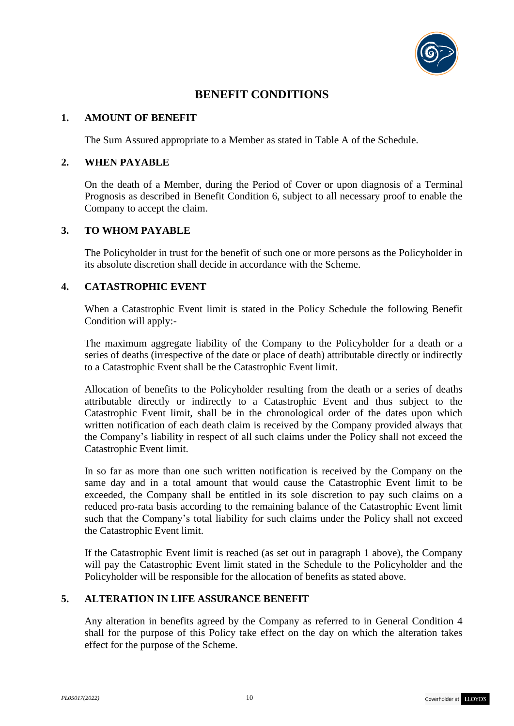

# **BENEFIT CONDITIONS**

#### **1. AMOUNT OF BENEFIT**

The Sum Assured appropriate to a Member as stated in Table A of the Schedule.

#### **2. WHEN PAYABLE**

On the death of a Member, during the Period of Cover or upon diagnosis of a Terminal Prognosis as described in Benefit Condition 6, subject to all necessary proof to enable the Company to accept the claim.

### **3. TO WHOM PAYABLE**

The Policyholder in trust for the benefit of such one or more persons as the Policyholder in its absolute discretion shall decide in accordance with the Scheme.

### **4. CATASTROPHIC EVENT**

When a Catastrophic Event limit is stated in the Policy Schedule the following Benefit Condition will apply:-

The maximum aggregate liability of the Company to the Policyholder for a death or a series of deaths (irrespective of the date or place of death) attributable directly or indirectly to a Catastrophic Event shall be the Catastrophic Event limit.

Allocation of benefits to the Policyholder resulting from the death or a series of deaths attributable directly or indirectly to a Catastrophic Event and thus subject to the Catastrophic Event limit, shall be in the chronological order of the dates upon which written notification of each death claim is received by the Company provided always that the Company's liability in respect of all such claims under the Policy shall not exceed the Catastrophic Event limit.

In so far as more than one such written notification is received by the Company on the same day and in a total amount that would cause the Catastrophic Event limit to be exceeded, the Company shall be entitled in its sole discretion to pay such claims on a reduced pro-rata basis according to the remaining balance of the Catastrophic Event limit such that the Company's total liability for such claims under the Policy shall not exceed the Catastrophic Event limit.

If the Catastrophic Event limit is reached (as set out in paragraph 1 above), the Company will pay the Catastrophic Event limit stated in the Schedule to the Policyholder and the Policyholder will be responsible for the allocation of benefits as stated above.

# **5. ALTERATION IN LIFE ASSURANCE BENEFIT**

Any alteration in benefits agreed by the Company as referred to in General Condition 4 shall for the purpose of this Policy take effect on the day on which the alteration takes effect for the purpose of the Scheme.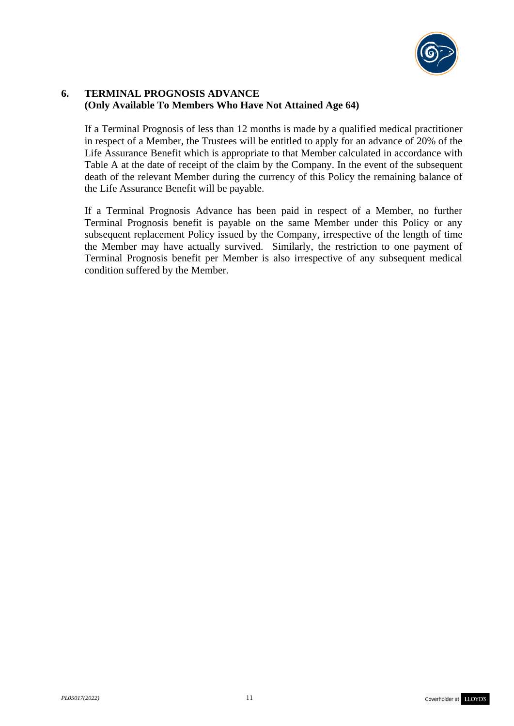

# **6. TERMINAL PROGNOSIS ADVANCE (Only Available To Members Who Have Not Attained Age 64)**

If a Terminal Prognosis of less than 12 months is made by a qualified medical practitioner in respect of a Member, the Trustees will be entitled to apply for an advance of 20% of the Life Assurance Benefit which is appropriate to that Member calculated in accordance with Table A at the date of receipt of the claim by the Company. In the event of the subsequent death of the relevant Member during the currency of this Policy the remaining balance of the Life Assurance Benefit will be payable.

If a Terminal Prognosis Advance has been paid in respect of a Member, no further Terminal Prognosis benefit is payable on the same Member under this Policy or any subsequent replacement Policy issued by the Company, irrespective of the length of time the Member may have actually survived. Similarly, the restriction to one payment of Terminal Prognosis benefit per Member is also irrespective of any subsequent medical condition suffered by the Member.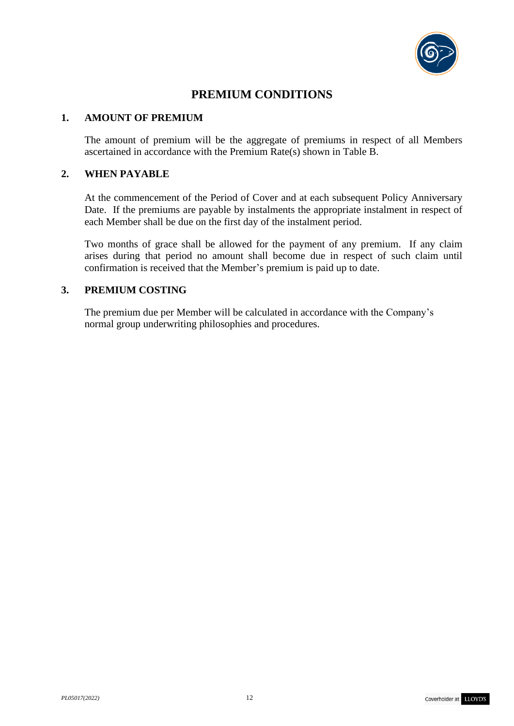

# **PREMIUM CONDITIONS**

#### **1. AMOUNT OF PREMIUM**

The amount of premium will be the aggregate of premiums in respect of all Members ascertained in accordance with the Premium Rate(s) shown in Table B.

#### **2. WHEN PAYABLE**

At the commencement of the Period of Cover and at each subsequent Policy Anniversary Date. If the premiums are payable by instalments the appropriate instalment in respect of each Member shall be due on the first day of the instalment period.

Two months of grace shall be allowed for the payment of any premium. If any claim arises during that period no amount shall become due in respect of such claim until confirmation is received that the Member's premium is paid up to date.

### **3. PREMIUM COSTING**

The premium due per Member will be calculated in accordance with the Company's normal group underwriting philosophies and procedures.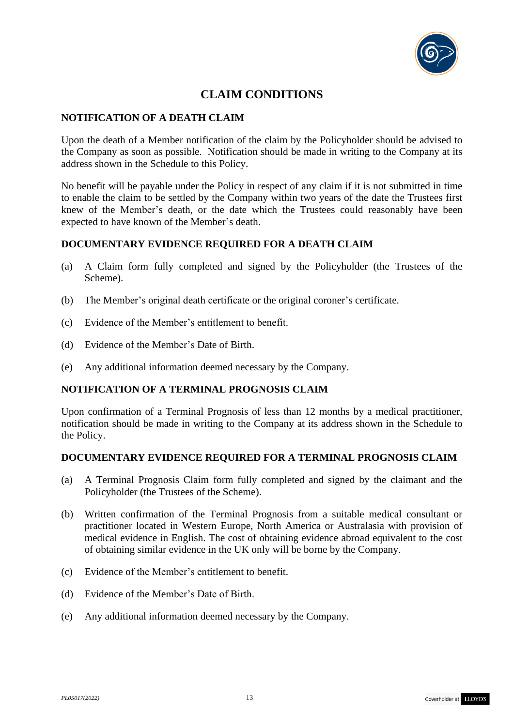

# **CLAIM CONDITIONS**

### **NOTIFICATION OF A DEATH CLAIM**

Upon the death of a Member notification of the claim by the Policyholder should be advised to the Company as soon as possible. Notification should be made in writing to the Company at its address shown in the Schedule to this Policy.

No benefit will be payable under the Policy in respect of any claim if it is not submitted in time to enable the claim to be settled by the Company within two years of the date the Trustees first knew of the Member's death, or the date which the Trustees could reasonably have been expected to have known of the Member's death.

#### **DOCUMENTARY EVIDENCE REQUIRED FOR A DEATH CLAIM**

- (a) A Claim form fully completed and signed by the Policyholder (the Trustees of the Scheme).
- (b) The Member's original death certificate or the original coroner's certificate.
- (c) Evidence of the Member's entitlement to benefit.
- (d) Evidence of the Member's Date of Birth.
- (e) Any additional information deemed necessary by the Company.

#### **NOTIFICATION OF A TERMINAL PROGNOSIS CLAIM**

Upon confirmation of a Terminal Prognosis of less than 12 months by a medical practitioner, notification should be made in writing to the Company at its address shown in the Schedule to the Policy.

#### **DOCUMENTARY EVIDENCE REQUIRED FOR A TERMINAL PROGNOSIS CLAIM**

- (a) A Terminal Prognosis Claim form fully completed and signed by the claimant and the Policyholder (the Trustees of the Scheme).
- (b) Written confirmation of the Terminal Prognosis from a suitable medical consultant or practitioner located in Western Europe, North America or Australasia with provision of medical evidence in English. The cost of obtaining evidence abroad equivalent to the cost of obtaining similar evidence in the UK only will be borne by the Company.
- (c) Evidence of the Member's entitlement to benefit.
- (d) Evidence of the Member's Date of Birth.
- (e) Any additional information deemed necessary by the Company.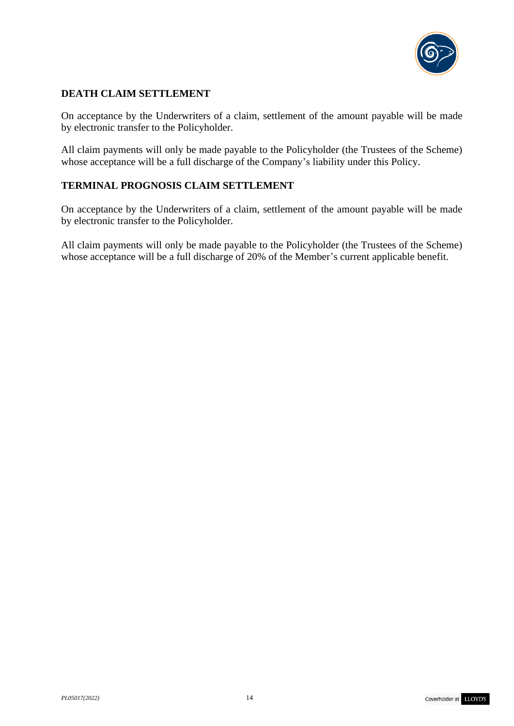

# **DEATH CLAIM SETTLEMENT**

On acceptance by the Underwriters of a claim, settlement of the amount payable will be made by electronic transfer to the Policyholder.

All claim payments will only be made payable to the Policyholder (the Trustees of the Scheme) whose acceptance will be a full discharge of the Company's liability under this Policy.

# **TERMINAL PROGNOSIS CLAIM SETTLEMENT**

On acceptance by the Underwriters of a claim, settlement of the amount payable will be made by electronic transfer to the Policyholder.

All claim payments will only be made payable to the Policyholder (the Trustees of the Scheme) whose acceptance will be a full discharge of 20% of the Member's current applicable benefit.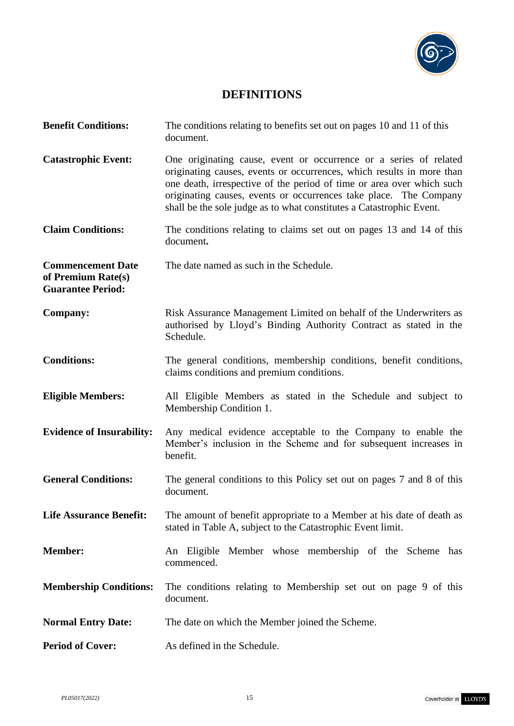

# **DEFINITIONS**

| <b>Benefit Conditions:</b>                                                 | The conditions relating to benefits set out on pages 10 and 11 of this<br>document.                                                                                                                                                                                                                                                                              |
|----------------------------------------------------------------------------|------------------------------------------------------------------------------------------------------------------------------------------------------------------------------------------------------------------------------------------------------------------------------------------------------------------------------------------------------------------|
| <b>Catastrophic Event:</b>                                                 | One originating cause, event or occurrence or a series of related<br>originating causes, events or occurrences, which results in more than<br>one death, irrespective of the period of time or area over which such<br>originating causes, events or occurrences take place. The Company<br>shall be the sole judge as to what constitutes a Catastrophic Event. |
| <b>Claim Conditions:</b>                                                   | The conditions relating to claims set out on pages 13 and 14 of this<br>document.                                                                                                                                                                                                                                                                                |
| <b>Commencement Date</b><br>of Premium Rate(s)<br><b>Guarantee Period:</b> | The date named as such in the Schedule.                                                                                                                                                                                                                                                                                                                          |
| <b>Company:</b>                                                            | Risk Assurance Management Limited on behalf of the Underwriters as<br>authorised by Lloyd's Binding Authority Contract as stated in the<br>Schedule.                                                                                                                                                                                                             |
| <b>Conditions:</b>                                                         | The general conditions, membership conditions, benefit conditions,<br>claims conditions and premium conditions.                                                                                                                                                                                                                                                  |
| <b>Eligible Members:</b>                                                   | All Eligible Members as stated in the Schedule and subject to<br>Membership Condition 1.                                                                                                                                                                                                                                                                         |
| <b>Evidence of Insurability:</b>                                           | Any medical evidence acceptable to the Company to enable the<br>Member's inclusion in the Scheme and for subsequent increases in<br>benefit.                                                                                                                                                                                                                     |
| <b>General Conditions:</b>                                                 | The general conditions to this Policy set out on pages 7 and 8 of this<br>document.                                                                                                                                                                                                                                                                              |
| <b>Life Assurance Benefit:</b>                                             | The amount of benefit appropriate to a Member at his date of death as<br>stated in Table A, subject to the Catastrophic Event limit.                                                                                                                                                                                                                             |
| <b>Member:</b>                                                             | An Eligible Member whose membership of the Scheme has<br>commenced.                                                                                                                                                                                                                                                                                              |
| <b>Membership Conditions:</b>                                              | The conditions relating to Membership set out on page 9 of this<br>document.                                                                                                                                                                                                                                                                                     |
| <b>Normal Entry Date:</b>                                                  | The date on which the Member joined the Scheme.                                                                                                                                                                                                                                                                                                                  |
| <b>Period of Cover:</b>                                                    | As defined in the Schedule.                                                                                                                                                                                                                                                                                                                                      |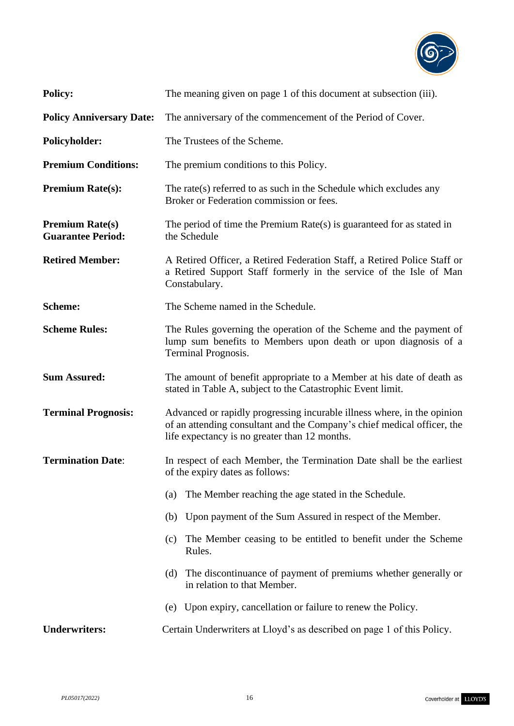

| <b>Policy:</b>                                     | The meaning given on page 1 of this document at subsection (iii).                                                                                                                                   |
|----------------------------------------------------|-----------------------------------------------------------------------------------------------------------------------------------------------------------------------------------------------------|
| <b>Policy Anniversary Date:</b>                    | The anniversary of the commencement of the Period of Cover.                                                                                                                                         |
| <b>Policyholder:</b>                               | The Trustees of the Scheme.                                                                                                                                                                         |
| <b>Premium Conditions:</b>                         | The premium conditions to this Policy.                                                                                                                                                              |
| <b>Premium Rate(s):</b>                            | The rate(s) referred to as such in the Schedule which excludes any<br>Broker or Federation commission or fees.                                                                                      |
| <b>Premium Rate(s)</b><br><b>Guarantee Period:</b> | The period of time the Premium $Rate(s)$ is guaranteed for as stated in<br>the Schedule                                                                                                             |
| <b>Retired Member:</b>                             | A Retired Officer, a Retired Federation Staff, a Retired Police Staff or<br>a Retired Support Staff formerly in the service of the Isle of Man<br>Constabulary.                                     |
| <b>Scheme:</b>                                     | The Scheme named in the Schedule.                                                                                                                                                                   |
| <b>Scheme Rules:</b>                               | The Rules governing the operation of the Scheme and the payment of<br>lump sum benefits to Members upon death or upon diagnosis of a<br>Terminal Prognosis.                                         |
| <b>Sum Assured:</b>                                | The amount of benefit appropriate to a Member at his date of death as<br>stated in Table A, subject to the Catastrophic Event limit.                                                                |
| <b>Terminal Prognosis:</b>                         | Advanced or rapidly progressing incurable illness where, in the opinion<br>of an attending consultant and the Company's chief medical officer, the<br>life expectancy is no greater than 12 months. |
| <b>Termination Date:</b>                           | In respect of each Member, the Termination Date shall be the earliest<br>of the expiry dates as follows:                                                                                            |
|                                                    | The Member reaching the age stated in the Schedule.<br>(a)                                                                                                                                          |
|                                                    | Upon payment of the Sum Assured in respect of the Member.<br>(b)                                                                                                                                    |
|                                                    | The Member ceasing to be entitled to benefit under the Scheme<br>(c)<br>Rules.                                                                                                                      |
|                                                    | The discontinuance of payment of premiums whether generally or<br>(d)<br>in relation to that Member.                                                                                                |
|                                                    | Upon expiry, cancellation or failure to renew the Policy.<br>(e)                                                                                                                                    |
| <b>Underwriters:</b>                               | Certain Underwriters at Lloyd's as described on page 1 of this Policy.                                                                                                                              |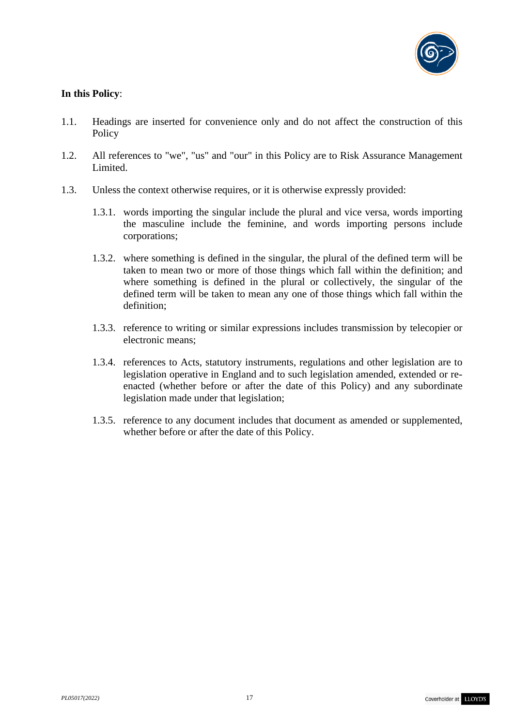

# **In this Policy**:

- 1.1. Headings are inserted for convenience only and do not affect the construction of this Policy
- 1.2. All references to "we", "us" and "our" in this Policy are to Risk Assurance Management Limited.
- 1.3. Unless the context otherwise requires, or it is otherwise expressly provided:
	- 1.3.1. words importing the singular include the plural and vice versa, words importing the masculine include the feminine, and words importing persons include corporations;
	- 1.3.2. where something is defined in the singular, the plural of the defined term will be taken to mean two or more of those things which fall within the definition; and where something is defined in the plural or collectively, the singular of the defined term will be taken to mean any one of those things which fall within the definition;
	- 1.3.3. reference to writing or similar expressions includes transmission by telecopier or electronic means;
	- 1.3.4. references to Acts, statutory instruments, regulations and other legislation are to legislation operative in England and to such legislation amended, extended or reenacted (whether before or after the date of this Policy) and any subordinate legislation made under that legislation;
	- 1.3.5. reference to any document includes that document as amended or supplemented, whether before or after the date of this Policy.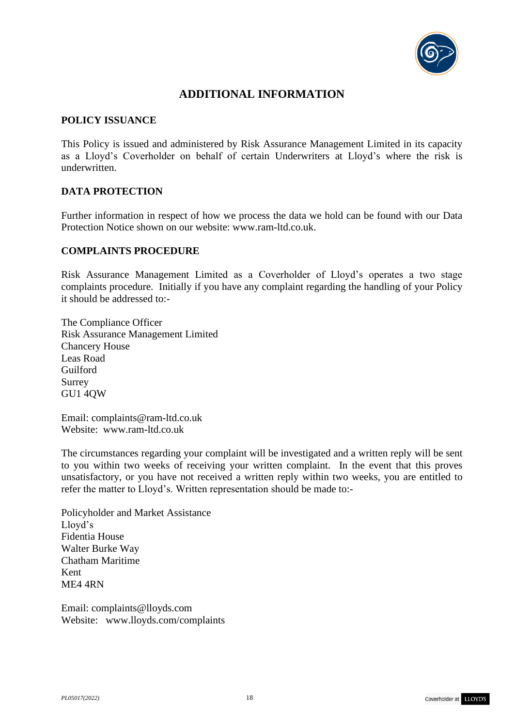

# **ADDITIONAL INFORMATION**

#### **POLICY ISSUANCE**

This Policy is issued and administered by Risk Assurance Management Limited in its capacity as a Lloyd's Coverholder on behalf of certain Underwriters at Lloyd's where the risk is underwritten.

### **DATA PROTECTION**

Further information in respect of how we process the data we hold can be found with our Data Protection Notice shown on our website: www.ram-ltd.co.uk.

### **COMPLAINTS PROCEDURE**

Risk Assurance Management Limited as a Coverholder of Lloyd's operates a two stage complaints procedure. Initially if you have any complaint regarding the handling of your Policy it should be addressed to:-

The Compliance Officer Risk Assurance Management Limited Chancery House Leas Road Guilford Surrey GU1 4QW

Email: [complaints@ram-ltd.co.uk](mailto:complaints@ram-ltd.co.uk) Website: www.ram-ltd.co.uk

The circumstances regarding your complaint will be investigated and a written reply will be sent to you within two weeks of receiving your written complaint. In the event that this proves unsatisfactory, or you have not received a written reply within two weeks, you are entitled to refer the matter to Lloyd's. Written representation should be made to:-

Policyholder and Market Assistance Lloyd's Fidentia House Walter Burke Way Chatham Maritime Kent ME4 4RN

Email: [complaints@lloyds.com](mailto:complaints@lloyds.com) Website: [www.lloyds.com/complaints](http://www.lloyds.com/complaints)